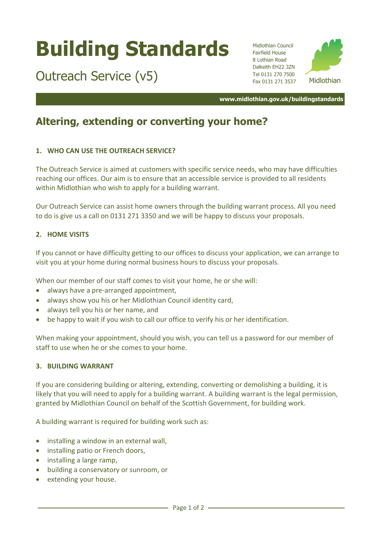# **Building Standards**

Outreach Service (v5)

Midlothian Council Fairfield House 8 Lothian Road Dalkeith EH22 3ZN Tel 0131 270 7500 Fax 0131 271 3537



**www.midlothian.gov.uk/buildingstandards**

## **Altering, extending or converting your home?**

### **1. WHO CAN USE THE OUTREACH SERVICE?**

The Outreach Service is aimed at customers with specific service needs, who may have difficulties reaching our offices. Our aim is to ensure that an accessible service is provided to all residents within Midlothian who wish to apply for a building warrant.

Our Outreach Service can assist home owners through the building warrant process. All you need to do is give us a call on 0131 271 3350 and we will be happy to discuss your proposals.

#### **2. HOME VISITS**

If you cannot or have difficulty getting to our offices to discuss your application, we can arrange to visit you at your home during normal business hours to discuss your proposals.

When our member of our staff comes to visit your home, he or she will:

- always have a pre-arranged appointment,
- always show you his or her Midlothian Council identity card,
- always tell you his or her name, and
- be happy to wait if you wish to call our office to verify his or her identification.

When making your appointment, should you wish, you can tell us a password for our member of staff to use when he or she comes to your home.

#### **3. BUILDING WARRANT**

If you are considering building or altering, extending, converting or demolishing a building, it is likely that you will need to apply for a building warrant. A building warrant is the legal permission, granted by Midlothian Council on behalf of the Scottish Government, for building work.

A building warrant is required for building work such as:

- installing a window in an external wall,
- installing patio or French doors,
- installing a large ramp,
- building a conservatory or sunroom, or
- extending your house.